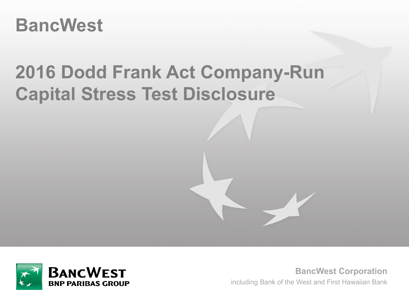# **BancWest**

# **2016 Dodd Frank Act Company-Run Capital Stress Test Disclosure**



**BancWest Corporation** including Bank of the West and First Hawaiian Bank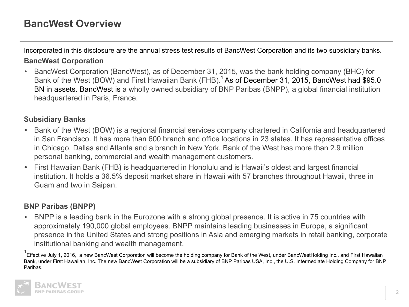# **BancWest Overview**

Incorporated in this disclosure are the annual stress test results of BancWest Corporation and its two subsidiary banks. **BancWest Corporation**

• BancWest Corporation (BancWest), as of December 31, 2015, was the bank holding company (BHC) for Bank of the West (BOW) and First Hawaiian Bank (FHB).<sup>1</sup> As of December 31, 2015, BancWest had \$95.0 BN in assets. BancWest is a wholly owned subsidiary of BNP Paribas (BNPP), a global financial institution headquartered in Paris, France.

### **Subsidiary Banks**

- **•** Bank of the West (BOW) is a regional financial services company chartered in California and headquartered in San Francisco. It has more than 600 branch and office locations in 23 states. It has representative offices in Chicago, Dallas and Atlanta and a branch in New York. Bank of the West has more than 2.9 million personal banking, commercial and wealth management customers.
- **•** First Hawaiian Bank (FHB**)** is headquartered in Honolulu and is Hawaii's oldest and largest financial institution. It holds a 36.5% deposit market share in Hawaii with 57 branches throughout Hawaii, three in Guam and two in Saipan.

## **BNP Paribas (BNPP)**

**•** BNPP is a leading bank in the Eurozone with a strong global presence. It is active in 75 countries with approximately 190,000 global employees. BNPP maintains leading businesses in Europe, a significant presence in the United States and strong positions in Asia and emerging markets in retail banking, corporate institutional banking and wealth management.

 $^{\text{1}}$ Effective July 1, 2016, a new BancWest Corporation will become the holding company for Bank of the West, under BancWestHolding Inc., and First Hawaiian Bank, under First Hawaiian, Inc. The new BancWest Corporation will be a subsidiary of BNP Paribas USA, Inc., the U.S. Intermediate Holding Company for BNP Paribas.

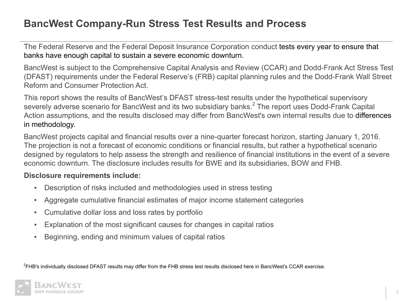# **BancWest Company-Run Stress Test Results and Process**

The Federal Reserve and the Federal Deposit Insurance Corporation conduct tests every year to ensure that banks have enough capital to sustain a severe economic downturn.

BancWest is subject to the Comprehensive Capital Analysis and Review (CCAR) and Dodd-Frank Act Stress Test (DFAST) requirements under the Federal Reserve's (FRB) capital planning rules and the Dodd-Frank Wall Street Reform and Consumer Protection Act.

This report shows the results of BancWest's DFAST stress-test results under the hypothetical supervisory severely adverse scenario for BancWest and its two subsidiary banks. $^2$  The report uses Dodd-Frank Capital Action assumptions, and the results disclosed may differ from BancWest's own internal results due to differences in methodology.

BancWest projects capital and financial results over a nine-quarter forecast horizon, starting January 1, 2016. The projection is not a forecast of economic conditions or financial results, but rather a hypothetical scenario designed by regulators to help assess the strength and resilience of financial institutions in the event of a severe economic downturn. The disclosure includes results for BWE and its subsidiaries, BOW and FHB.

#### **Disclosure requirements include:**

- Description of risks included and methodologies used in stress testing
- Aggregate cumulative financial estimates of major income statement categories
- Cumulative dollar loss and loss rates by portfolio
- Explanation of the most significant causes for changes in capital ratios
- Beginning, ending and minimum values of capital ratios

 ${}^{2}$ FHB's individually disclosed DFAST results may differ from the FHB stress test results disclosed here in BancWest's CCAR exercise.

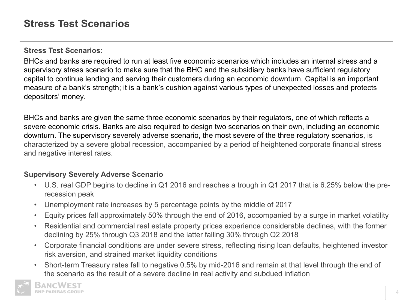#### **Stress Test Scenarios:**

BHCs and banks are required to run at least five economic scenarios which includes an internal stress and a supervisory stress scenario to make sure that the BHC and the subsidiary banks have sufficient regulatory capital to continue lending and serving their customers during an economic downturn. Capital is an important measure of a bank's strength; it is a bank's cushion against various types of unexpected losses and protects depositors' money.

BHCs and banks are given the same three economic scenarios by their regulators, one of which reflects a severe economic crisis. Banks are also required to design two scenarios on their own, including an economic downturn. The supervisory severely adverse scenario, the most severe of the three regulatory scenarios, is characterized by a severe global recession, accompanied by a period of heightened corporate financial stress and negative interest rates.

### **Supervisory Severely Adverse Scenario**

- U.S. real GDP begins to decline in Q1 2016 and reaches a trough in Q1 2017 that is 6.25% below the prerecession peak
- Unemployment rate increases by 5 percentage points by the middle of 2017
- Equity prices fall approximately 50% through the end of 2016, accompanied by a surge in market volatility
- Residential and commercial real estate property prices experience considerable declines, with the former declining by 25% through Q3 2018 and the latter falling 30% through Q2 2018
- Corporate financial conditions are under severe stress, reflecting rising loan defaults, heightened investor risk aversion, and strained market liquidity conditions
- Short-term Treasury rates fall to negative 0.5% by mid-2016 and remain at that level through the end of the scenario as the result of a severe decline in real activity and subdued inflation

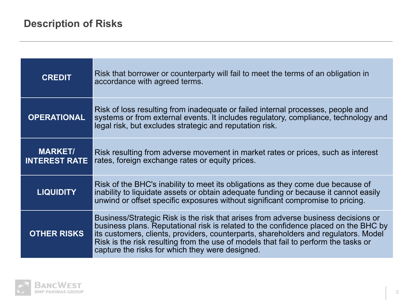| <b>CREDIT</b>                          | Risk that borrower or counterparty will fail to meet the terms of an obligation in<br>accordance with agreed terms.                                                                                                                                                                                                                                                                                        |
|----------------------------------------|------------------------------------------------------------------------------------------------------------------------------------------------------------------------------------------------------------------------------------------------------------------------------------------------------------------------------------------------------------------------------------------------------------|
| <b>OPERATIONAL</b>                     | Risk of loss resulting from inadequate or failed internal processes, people and<br>systems or from external events. It includes regulatory, compliance, technology and<br>legal risk, but excludes strategic and reputation risk.                                                                                                                                                                          |
| <b>MARKET/</b><br><b>INTEREST RATE</b> | Risk resulting from adverse movement in market rates or prices, such as interest<br>rates, foreign exchange rates or equity prices.                                                                                                                                                                                                                                                                        |
| <b>LIQUIDITY</b>                       | Risk of the BHC's inability to meet its obligations as they come due because of<br>inability to liquidate assets or obtain adequate funding or because it cannot easily<br>unwind or offset specific exposures without significant compromise to pricing.                                                                                                                                                  |
| <b>OTHER RISKS</b>                     | Business/Strategic Risk is the risk that arises from adverse business decisions or<br>business plans. Reputational risk is related to the confidence placed on the BHC by<br>its customers, clients, providers, counterparts, shareholders and regulators. Model<br>Risk is the risk resulting from the use of models that fail to perform the tasks or<br>capture the risks for which they were designed. |

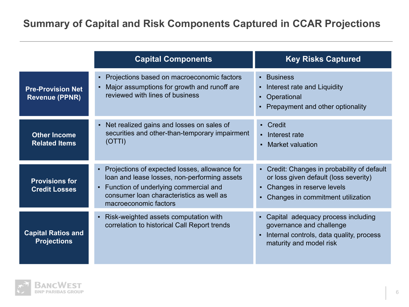# **Summary of Capital and Risk Components Captured in CCAR Projections**

|                                                   | <b>Capital Components</b>                                                                                                                                                                                                     | <b>Key Risks Captured</b>                                                                                                                                                      |
|---------------------------------------------------|-------------------------------------------------------------------------------------------------------------------------------------------------------------------------------------------------------------------------------|--------------------------------------------------------------------------------------------------------------------------------------------------------------------------------|
| <b>Pre-Provision Net</b><br><b>Revenue (PPNR)</b> | Projections based on macroeconomic factors<br>$\blacksquare$<br>Major assumptions for growth and runoff are<br>reviewed with lines of business                                                                                | • Business<br>Interest rate and Liquidity<br>• Operational<br>Prepayment and other optionality                                                                                 |
| <b>Other Income</b><br><b>Related Items</b>       | Net realized gains and losses on sales of<br>securities and other-than-temporary impairment<br>(OTTI)                                                                                                                         | - Credit<br>• Interest rate<br>• Market valuation                                                                                                                              |
| <b>Provisions for</b><br><b>Credit Losses</b>     | Projections of expected losses, allowance for<br>$\blacksquare$<br>loan and lease losses, non-performing assets<br>Function of underlying commercial and<br>consumer loan characteristics as well as<br>macroeconomic factors | • Credit: Changes in probability of default<br>or loss given default (loss severity)<br>Changes in reserve levels<br>٠.<br>Changes in commitment utilization<br>$\blacksquare$ |
| <b>Capital Ratios and</b><br><b>Projections</b>   | Risk-weighted assets computation with<br>correlation to historical Call Report trends                                                                                                                                         | Capital adequacy process including<br>governance and challenge<br>Internal controls, data quality, process<br>maturity and model risk                                          |

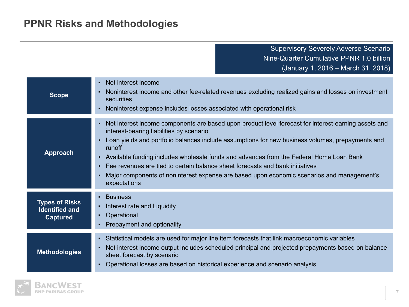# **PPNR Risks and Methodologies**

Supervisory Severely Adverse Scenario Nine-Quarter Cumulative PPNR 1.0 billion (January 1, 2016 – March 31, 2018)

| <b>Scope</b>                                                      | • Net interest income<br>Noninterest income and other fee-related revenues excluding realized gains and losses on investment<br>securities<br>Noninterest expense includes losses associated with operational risk<br>٠                                                                                                                                                                                                                                                                                                                                                                               |
|-------------------------------------------------------------------|-------------------------------------------------------------------------------------------------------------------------------------------------------------------------------------------------------------------------------------------------------------------------------------------------------------------------------------------------------------------------------------------------------------------------------------------------------------------------------------------------------------------------------------------------------------------------------------------------------|
| <b>Approach</b>                                                   | Net interest income components are based upon product level forecast for interest-earning assets and<br>$\blacksquare$<br>interest-bearing liabilities by scenario<br>Loan yields and portfolio balances include assumptions for new business volumes, prepayments and<br>$\blacksquare$<br>runoff<br>- Available funding includes wholesale funds and advances from the Federal Home Loan Bank<br>• Fee revenues are tied to certain balance sheet forecasts and bank initiatives<br>Major components of noninterest expense are based upon economic scenarios and management's<br>٠<br>expectations |
| <b>Types of Risks</b><br><b>Identified and</b><br><b>Captured</b> | • Business<br>Interest rate and Liquidity<br>٠.<br>• Operational<br>Prepayment and optionality                                                                                                                                                                                                                                                                                                                                                                                                                                                                                                        |
| <b>Methodologies</b>                                              | - Statistical models are used for major line item forecasts that link macroeconomic variables<br>Net interest income output includes scheduled principal and projected prepayments based on balance<br>٠.<br>sheet forecast by scenario<br>Operational losses are based on historical experience and scenario analysis                                                                                                                                                                                                                                                                                |

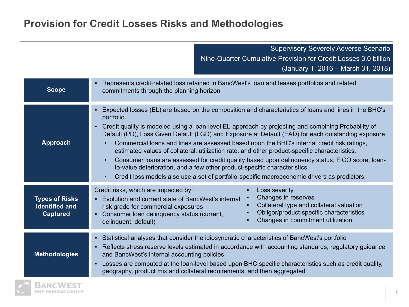# **Provision for Credit Losses Risks and Methodologies**

|                                                                   | <b>Supervisory Severely Adverse Scenario</b><br>Nine-Quarter Cumulative Provision for Credit Losses 3.0 billion<br>(January 1, 2016 – March 31, 2018)                                                                                                                                                                                                                                                                                                                                                                                                                                                                                                                                                                                                                                                                                         |  |  |  |
|-------------------------------------------------------------------|-----------------------------------------------------------------------------------------------------------------------------------------------------------------------------------------------------------------------------------------------------------------------------------------------------------------------------------------------------------------------------------------------------------------------------------------------------------------------------------------------------------------------------------------------------------------------------------------------------------------------------------------------------------------------------------------------------------------------------------------------------------------------------------------------------------------------------------------------|--|--|--|
| <b>Scope</b>                                                      | Represents credit-related loss retained in BancWest's loan and leases portfolios and related<br>commitments through the planning horizon                                                                                                                                                                                                                                                                                                                                                                                                                                                                                                                                                                                                                                                                                                      |  |  |  |
| <b>Approach</b>                                                   | Expected losses (EL) are based on the composition and characteristics of loans and lines in the BHC's<br>portfolio.<br>Credit quality is modeled using a loan-level EL-approach by projecting and combining Probability of<br>$\mathbf{E}^{\text{max}}$<br>Default (PD), Loss Given Default (LGD) and Exposure at Default (EAD) for each outstanding exposure.<br>Commercial loans and lines are assessed based upon the BHC's internal credit risk ratings,<br>estimated values of collateral, utilization rate, and other product-specific characteristics.<br>Consumer loans are assessed for credit quality based upon delinguency status, FICO score, loan-<br>to-value deterioration, and a few other product-specific characteristics.<br>Credit loss models also use a set of portfolio-specific macroeconomic drivers as predictors. |  |  |  |
| <b>Types of Risks</b><br><b>Identified and</b><br><b>Captured</b> | Credit risks, which are impacted by:<br>Loss severity<br>Changes in reserves<br>Evolution and current state of BancWest's internal<br>Collateral type and collateral valuation<br>risk grade for commercial exposures<br>Obligor/product-specific characteristics<br>Consumer loan delinquency status (current,<br>Changes in commitment utilization<br>delinquent, default)                                                                                                                                                                                                                                                                                                                                                                                                                                                                  |  |  |  |
| <b>Methodologies</b>                                              | - Statistical analyses that consider the idiosyncratic characteristics of BancWest's portfolio<br>Reflects stress reserve levels estimated in accordance with accounting standards, regulatory guidance<br>and BancWest's internal accounting policies<br>Losses are computed at the loan-level based upon BHC specific characteristics such as credit quality,<br>geography, product mix and collateral requirements, and then aggregated                                                                                                                                                                                                                                                                                                                                                                                                    |  |  |  |

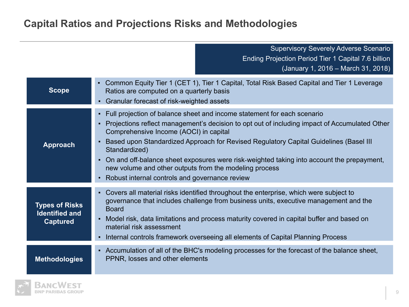# **Capital Ratios and Projections Risks and Methodologies**

Supervisory Severely Adverse Scenario Ending Projection Period Tier 1 Capital 7.6 billion (January 1, 2016 – March 31, 2018)

| <b>Scope</b>                                                      | • Common Equity Tier 1 (CET 1), Tier 1 Capital, Total Risk Based Capital and Tier 1 Leverage<br>Ratios are computed on a quarterly basis<br>• Granular forecast of risk-weighted assets                                                                                                                                                                                                                                                                                                                                                               |
|-------------------------------------------------------------------|-------------------------------------------------------------------------------------------------------------------------------------------------------------------------------------------------------------------------------------------------------------------------------------------------------------------------------------------------------------------------------------------------------------------------------------------------------------------------------------------------------------------------------------------------------|
| <b>Approach</b>                                                   | • Full projection of balance sheet and income statement for each scenario<br>Projections reflect management's decision to opt out of including impact of Accumulated Other<br>Comprehensive Income (AOCI) in capital<br>Based upon Standardized Approach for Revised Regulatory Capital Guidelines (Basel III)<br>Standardized)<br>On and off-balance sheet exposures were risk-weighted taking into account the prepayment,<br>new volume and other outputs from the modeling process<br>Robust internal controls and governance review<br>$\bullet$ |
| <b>Types of Risks</b><br><b>Identified and</b><br><b>Captured</b> | Covers all material risks identified throughout the enterprise, which were subject to<br>governance that includes challenge from business units, executive management and the<br><b>Board</b><br>Model risk, data limitations and process maturity covered in capital buffer and based on<br>material risk assessment<br>Internal controls framework overseeing all elements of Capital Planning Process                                                                                                                                              |
| <b>Methodologies</b>                                              | - Accumulation of all of the BHC's modeling processes for the forecast of the balance sheet,<br>PPNR, losses and other elements                                                                                                                                                                                                                                                                                                                                                                                                                       |

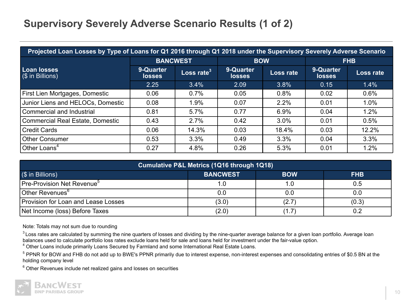# **Supervisory Severely Adverse Scenario Results (1 of 2)**

| Projected Loan Losses by Type of Loans for Q1 2016 through Q1 2018 under the Supervisory Severely Adverse Scenario |                            |                                 |                            |           |                            |           |
|--------------------------------------------------------------------------------------------------------------------|----------------------------|---------------------------------|----------------------------|-----------|----------------------------|-----------|
|                                                                                                                    | <b>BANCWEST</b>            |                                 | <b>BOW</b>                 |           | <b>FHB</b>                 |           |
| <b>Loan losses</b><br>$\sqrt{(}\$ in Billions)                                                                     | 9-Quarter<br><b>losses</b> | Loss rate $^{\rm 3}$ $^{\rm 1}$ | 9-Quarter<br><b>losses</b> | Loss rate | 9-Quarter<br><b>losses</b> | Loss rate |
|                                                                                                                    | 2.25                       | 3.4%                            | 2.09                       | 3.8%      | 0.15                       | 1.4%      |
| First Lien Mortgages, Domestic                                                                                     | 0.06                       | 0.7%                            | 0.05                       | 0.8%      | 0.02                       | 0.6%      |
| Junior Liens and HELOCs, Domestic                                                                                  | 0.08                       | 1.9%                            | 0.07                       | 2.2%      | 0.01                       | 1.0%      |
| Commercial and Industrial                                                                                          | 0.81                       | 5.7%                            | 0.77                       | 6.9%      | 0.04                       | 1.2%      |
| Commercial Real Estate, Domestic                                                                                   | 0.43                       | 2.7%                            | 0.42                       | 3.0%      | 0.01                       | 0.5%      |
| l Credit Cards                                                                                                     | 0.06                       | 14.3%                           | 0.03                       | 18.4%     | 0.03                       | 12.2%     |
| l Other Consumer                                                                                                   | 0.53                       | 3.3%                            | 0.49                       | 3.3%      | 0.04                       | 3.3%      |
| Other Loans <sup>4</sup>                                                                                           | 0.27                       | 4.8%                            | 0.26                       | 5.3%      | 0.01                       | 1.2%      |

| Cumulative P&L Metrics (1Q16 through 1Q18) |                 |            |            |  |
|--------------------------------------------|-----------------|------------|------------|--|
| (\$ in Billions)                           | <b>BANCWEST</b> | <b>BOW</b> | <b>FHB</b> |  |
| Pre-Provision Net Revenue <sup>5</sup>     |                 | 1.0        | 0.5        |  |
| Other Revenues <sup>o</sup>                | 0.0             | 0.0        | 0.0        |  |
| Provision for Loan and Lease Losses        | (3.0)           | (2.7)      | (0.3)      |  |
| Net Income (loss) Before Taxes             | (2.0)           | (1.7)      | 0.2        |  |

Note: Totals may not sum due to rounding

<sup>3</sup> Loss rates are calculated by summing the nine quarters of losses and dividing by the nine-quarter average balance for a given loan portfolio. Average loan balances used to calculate portfolio loss rates exclude loans held for sale and loans held for investment under the fair-value option.

<sup>4</sup> Other Loans include primarily Loans Secured by Farmland and some International Real Estate Loans.

<sup>5</sup> PPNR for BOW and FHB do not add up to BWE's PPNR primarily due to interest expense, non-interest expenses and consolidating entries of \$0.5 BN at the holding company level

 $6$  Other Revenues include net realized gains and losses on securities

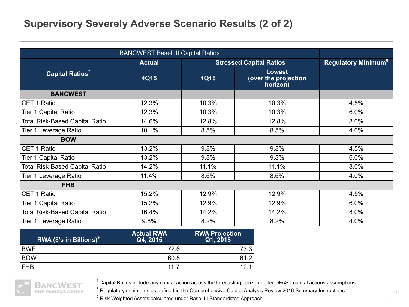## **Supervisory Severely Adverse Scenario Results (2 of 2)**

|                                       | <b>BANCWEST Basel III Capital Ratios</b> |                       |                                                   |                                       |
|---------------------------------------|------------------------------------------|-----------------------|---------------------------------------------------|---------------------------------------|
|                                       | <b>Actual</b>                            |                       | <b>Stressed Capital Ratios</b>                    | <b>Regulatory Minimum<sup>8</sup></b> |
| Capital Ratios <sup>7</sup>           | 4Q15                                     | <b>1Q18</b>           | <b>Lowest</b><br>(over the projection<br>horizon) |                                       |
| <b>BANCWEST</b>                       |                                          |                       |                                                   |                                       |
| <b>CET 1 Ratio</b>                    | 12.3%                                    | 10.3%                 | 10.3%                                             | 4.5%                                  |
| <b>Tier 1 Capital Ratio</b>           | 12.3%                                    | 10.3%                 | 10.3%                                             | 6.0%                                  |
| <b>Total Risk-Based Capital Ratio</b> | 14.6%                                    | 12.8%                 | 12.8%                                             | 8.0%                                  |
| Tier 1 Leverage Ratio                 | 10.1%                                    | 8.5%                  | 8.5%                                              | 4.0%                                  |
| <b>BOW</b>                            |                                          |                       |                                                   |                                       |
| <b>CET 1 Ratio</b>                    | 13.2%                                    | 9.8%                  | 9.8%                                              | 4.5%                                  |
| Tier 1 Capital Ratio                  | 13.2%                                    | 9.8%                  | 9.8%                                              | 6.0%                                  |
| <b>Total Risk-Based Capital Ratio</b> | 14.2%                                    | 11.1%                 | 11.1%                                             | 8.0%                                  |
| Tier 1 Leverage Ratio                 | 11.4%                                    | 8.6%                  | 8.6%                                              | 4.0%                                  |
| <b>FHB</b>                            |                                          |                       |                                                   |                                       |
| CET 1 Ratio                           | 15.2%                                    | 12.9%                 | 12.9%                                             | 4.5%                                  |
| Tier 1 Capital Ratio                  | 15.2%                                    | 12.9%                 | 12.9%                                             | 6.0%                                  |
| <b>Total Risk-Based Capital Ratio</b> | 16.4%                                    | 14.2%                 | 14.2%                                             | 8.0%                                  |
| Tier 1 Leverage Ratio                 | 9.8%                                     | 8.2%                  | 8.2%                                              | 4.0%                                  |
|                                       | Actual DWA                               | <b>DWA Drojoction</b> |                                                   |                                       |

| $\overline{\phantom{a}}$ RWA (\$'s in Billions) $^9$ | <b>Actual RWA</b><br>Q4, 2015 | <b>RWA Projection</b><br>Q1, 2018 |
|------------------------------------------------------|-------------------------------|-----------------------------------|
| <b>BWE</b>                                           | 72.6                          | 73.3                              |
| <b>BOW</b>                                           | 60.8                          | 61.2                              |
| <b>FHB</b>                                           | 11                            | 12 1                              |



 $7$  Capital Ratios include any capital action across the forecasting horizon under DFAST capital actions assumptions

 $^8$  Regulatory minimums as defined in the Comprehensive Capital Analysis Review 2016 Summary Instructions

<sup>9</sup> Risk Weighted Assets calculated under Basel III Standardized Approach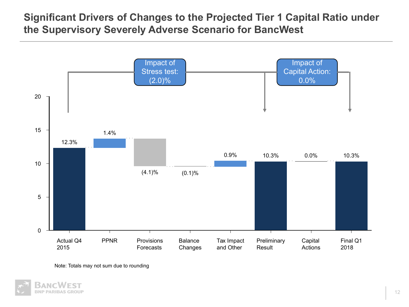# **Significant Drivers of Changes to the Projected Tier 1 Capital Ratio under the Supervisory Severely Adverse Scenario for BancWest**



Note: Totals may not sum due to rounding